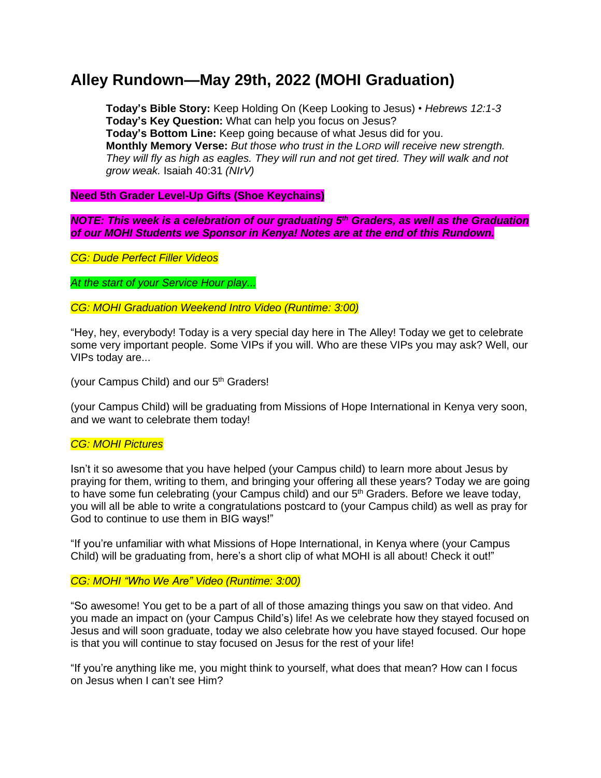# **Alley Rundown—May 29th, 2022 (MOHI Graduation)**

**Today's Bible Story:** Keep Holding On (Keep Looking to Jesus) • *Hebrews 12:1-3* **Today's Key Question:** What can help you focus on Jesus? **Today's Bottom Line:** Keep going because of what Jesus did for you. **Monthly Memory Verse:** *But those who trust in the LORD will receive new strength. They will fly as high as eagles. They will run and not get tired. They will walk and not grow weak.* Isaiah 40:31 *(NIrV)*

## **Need 5th Grader Level-Up Gifts (Shoe Keychains)**

*NOTE: This week is a celebration of our graduating 5 th Graders, as well as the Graduation of our MOHI Students we Sponsor in Kenya! Notes are at the end of this Rundown.*

*CG: Dude Perfect Filler Videos*

*At the start of your Service Hour play...*

*CG: MOHI Graduation Weekend Intro Video (Runtime: 3:00)*

"Hey, hey, everybody! Today is a very special day here in The Alley! Today we get to celebrate some very important people. Some VIPs if you will. Who are these VIPs you may ask? Well, our VIPs today are...

(your Campus Child) and our 5<sup>th</sup> Graders!

(your Campus Child) will be graduating from Missions of Hope International in Kenya very soon, and we want to celebrate them today!

## *CG: MOHI Pictures*

Isn't it so awesome that you have helped (your Campus child) to learn more about Jesus by praying for them, writing to them, and bringing your offering all these years? Today we are going to have some fun celebrating (your Campus child) and our 5<sup>th</sup> Graders. Before we leave today, you will all be able to write a congratulations postcard to (your Campus child) as well as pray for God to continue to use them in BIG ways!"

"If you're unfamiliar with what Missions of Hope International, in Kenya where (your Campus Child) will be graduating from, here's a short clip of what MOHI is all about! Check it out!"

## *CG: MOHI "Who We Are" Video (Runtime: 3:00)*

"So awesome! You get to be a part of all of those amazing things you saw on that video. And you made an impact on (your Campus Child's) life! As we celebrate how they stayed focused on Jesus and will soon graduate, today we also celebrate how you have stayed focused. Our hope is that you will continue to stay focused on Jesus for the rest of your life!

"If you're anything like me, you might think to yourself, what does that mean? How can I focus on Jesus when I can't see Him?